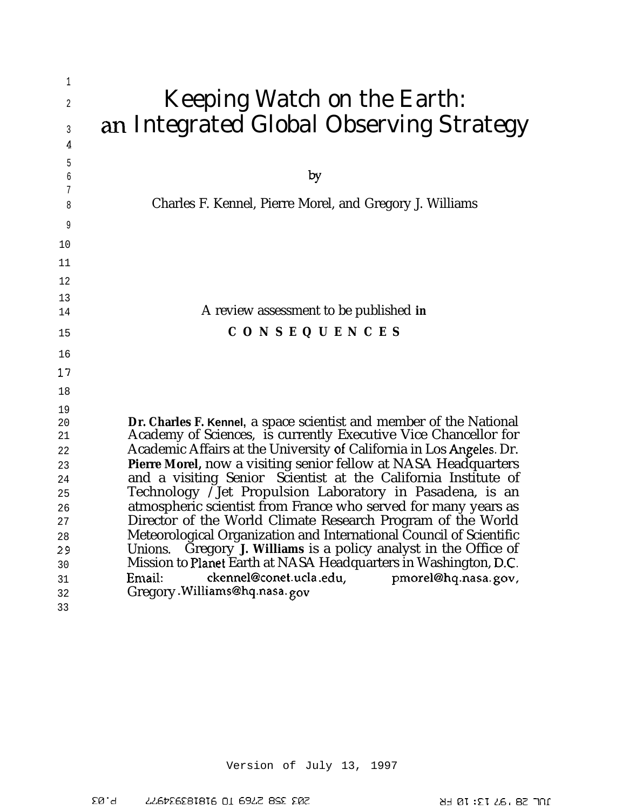| 1      |                                                                      |
|--------|----------------------------------------------------------------------|
| 2      | Keeping Watch on the Earth:                                          |
|        | an Integrated Global Observing Strategy                              |
| 3      |                                                                      |
| 4      |                                                                      |
| 5      |                                                                      |
| б      | by                                                                   |
| 7<br>8 | Charles F. Kennel, Pierre Morel, and Gregory J. Williams             |
|        |                                                                      |
| 9      |                                                                      |
| 10     |                                                                      |
| 11     |                                                                      |
| 12     |                                                                      |
| 13     |                                                                      |
| 14     | A review assessment to be published in                               |
| 15     | <b>CONSEQUENCES</b>                                                  |
|        |                                                                      |
| 16     |                                                                      |
| 17     |                                                                      |
| 18     |                                                                      |
| 19     |                                                                      |
| 20     | Dr. Charles F. Kennel, a space scientist and member of the National  |
| 21     | Academy of Sciences, is currently Executive Vice Chancellor for      |
| 22     | Academic Affairs at the University of California in Los Angeles. Dr. |
| 23     | Pierre Morel, now a visiting senior fellow at NASA Headquarters      |
| 24     | and a visiting Senior Scientist at the California Institute of       |
| 25     | Technology /Jet Propulsion Laboratory in Pasadena, is an             |
| 26     | atmospheric scientist from France who served for many years as       |
| 27     | Director of the World Climate Research Program of the World          |
| 28     | Meteorological Organization and International Council of Scientific  |
| 29     | Gregory J. Williams is a policy analyst in the Office of<br>Unions.  |
| 30     | Mission to Planet Earth at NASA Headquarters in Washington, D.C.     |
| 31     | ckennel@conet.ucla.edu,<br>pmorel@hq.nasa.gov,<br>Email:             |
| 32     | Gregory. Williams@hq.nasa.gov                                        |
| 33     |                                                                      |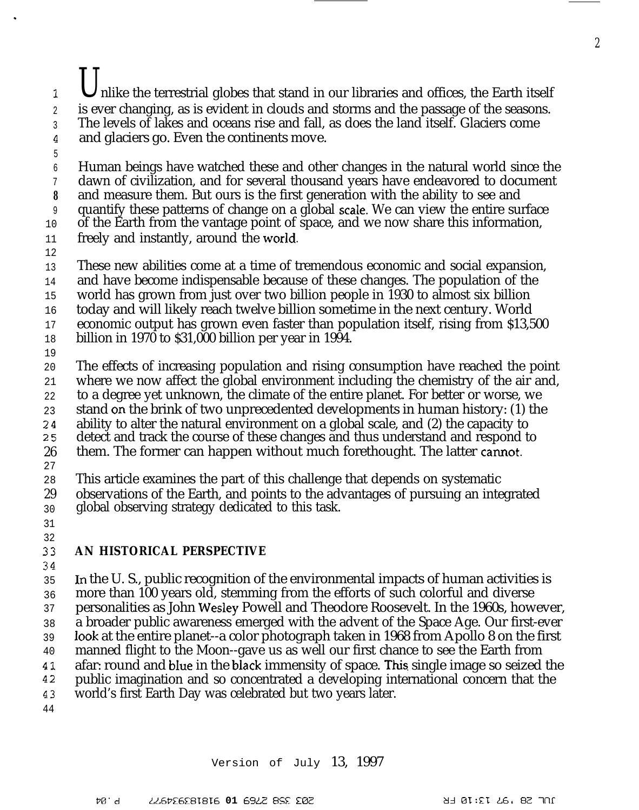### 1 2 3 4 nlike the terrestrial globes that stand in our libraries and offices, the Earth itself is ever changing, as is evident in clouds and storms and the passage of the seasons. The levels of lakes and oceans rise and fall, as does the land itself. Glaciers come and glaciers go. Even the continents move.

6 7 **8** 9 10 11 Human beings have watched these and other changes in the natural world since the dawn of civilization, and for several thousand years have endeavored to document and measure them. But ours is the first generation with the ability to see and quantify these patterns of change on a global scale. We can view the entire surface of the Earth from the vantage point of space, and we now share this information, freely and instantly, around the world.

12

5

.

13 These new abilities come at a time of tremendous economic and social expansion,

14 and have become indispensable because of these changes. The population of the

15 world has grown from just over two billion people in 1930 to almost six billion

16 today and will likely reach twelve billion sometime in the next century. World

17 economic output has grown even faster than population itself, rising from \$13,500

- 18 billion in 1970 to \$31,000 billion per year in 1994.
- 19

20 The effects of increasing population and rising consumption have reached the point where we now affect the global environment including the chemistry of the air and,

21 22 to a degree yet unknown, the climate of the entire planet. For better or worse, we

23 stand on the brink of two unprecedented developments in human history: (1) the

- 24 ability to alter the natural environment on a global scale, and (2) the capacity to
- 25 detect and track the course of these changes and thus understand and respond to
- 26 them. The former can happen without much forethought. The latter camot.
- 27

28 29 This article examines the part of this challenge that depends on systematic observations of the Earth, and points to the advantages of pursuing an integrated

- 30 global observing strategy dedicated to this task.
- 31 32

### 33 **AN HISTORICAL PERSPECTIVE**

34

35 36 37 38 39 40 41 42 43 44 In the U. S., public recognition of the environmental impacts of human activities is more than 100 years old, stemming from the efforts of such colorful and diverse personalities as John Wesley Powell and Theodore Roosevelt. In the 1960s, however, a broader public awareness emerged with the advent of the Space Age. Our first-ever look at the entire planet--a color photograph taken in 1968 from Apollo 8 on the first manned flight to the Moon--gave us as well our first chance to see the Earth from afar: round and bIue in the bIack immensity of space. This single image so seized the public imagination and so concentrated a developing international concern that the world's first Earth Day was celebrated but two years later.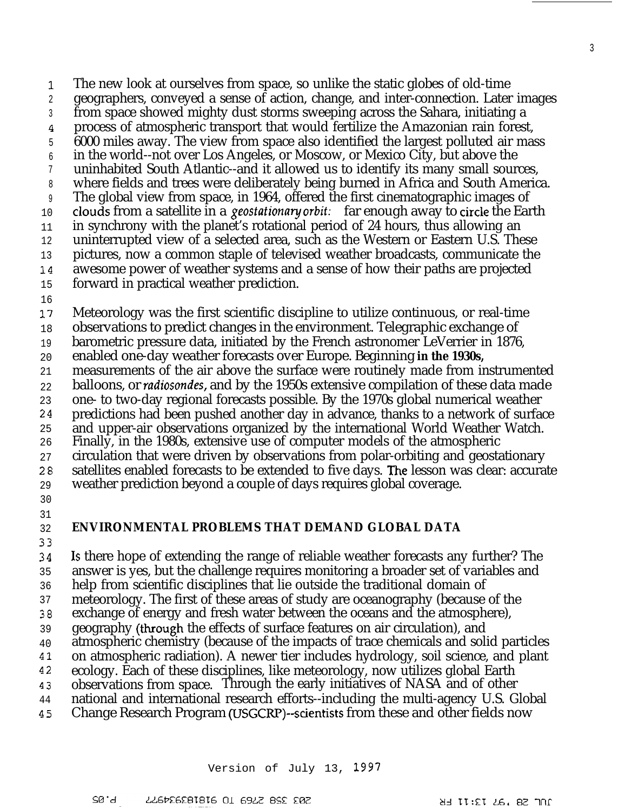1 2 3 4 5 6 7 8 9 10 11 12 13 14 15 16 The new look at ourselves from space, so unlike the static globes of old-time geographers, conveyed a sense of action, change, and inter-connection. Later images from space showed mighty dust storms sweeping across the Sahara, initiating a process of atmospheric transport that would fertilize the Amazonian rain forest, 6000 miles away. The view from space also identified the largest polluted air mass in the world--not over Los Angeles, or Moscow, or Mexico City, but above the uninhabited South Atlantic--and it allowed us to identify its many small sources, where fields and trees were deliberately being burned in Africa and South America. The global view from space, in 1964, offered the first cinematographic images of clouds from a satellite in a *geostutionmy orbit:* far enough away to circle the Earth in synchrony with the planet's rotational period of 24 hours, thus allowing an uninterrupted view of a selected area, such as the Western or Eastern U.S. These pictures, now a common staple of televised weather broadcasts, communicate the awesome power of weather systems and a sense of how their paths are projected forward in practical weather prediction.

17 18 Meteorology was the first scientific discipline to utilize continuous, or real-time observations to predict changes in the environment. Telegraphic exchange of

19 barometric pressure data, initiated by the French astronomer LeVerrier in 1876,

20 enabled one-day weather forecasts over Europe. Beginning **in the 1930s,**

21 measurements of the air above the surface were routinely made from instrumented

22 23 balloons, or *radiosondes*, and by the 1950s extensive compilation of these data made one- to two-day regional forecasts possible. By the 1970s global numerical weather

24 predictions had been pushed another day in advance, thanks to a network of surface

25 and upper-air observations organized by the international World Weather Watch.

26 Finally, in the 1980s, extensive use of computer models of the atmospheric

27 circulation that were driven by observations from polar-orbiting and geostationary

28 satellites enabled forecasts to be extended to five days. The lesson was clear: accurate

29 weather prediction beyond a couple of days requires global coverage.

30 31

### 32 **ENVIRONMENTAL PROBLEMS THAT DEMAND GLOBAL DATA**

33

24 35 36 37 38 39 40 al 42 43 44 Is there hope of extending the range of reliable weather forecasts any further? The answer is yes, but the challenge requires monitoring a broader set of variables and help from scientific disciplines that lie outside the traditional domain of meteorology. The first of these areas of study are oceanography (because of the exchange of energy and fresh water between the oceans and the atmosphere), geography (tlwough the effects of surface features on air circulation), and atmospheric chemistry (because of the impacts of trace chemicals and solid particles on atmospheric radiation). A newer tier includes hydrology, soil science, and plant ecology. Each of these disciplines, like meteorology, now utilizes global Earth observations from space. Through the early initiatives of NASA and of other national and international research efforts--including the multi-agency U.S. Global

45 Change Research Program (USGCRF')--scientists from these and other fields now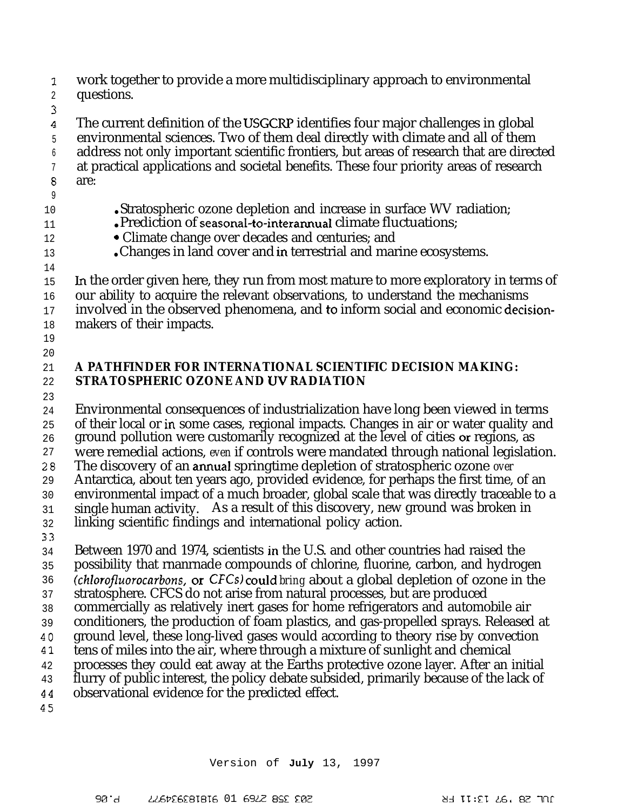-1 J. 2 work together to provide a more multidisciplinary approach to environmental questions.

3  $\boldsymbol{4}$ 5 6 7 8 The current definition of the USGCRP identifies four major challenges in global environmental sciences. Two of them deal directly with climate and all of them address not only important scientific frontiers, but areas of research that are directed at practical applications and societal benefits. These four priority areas of research are:

9 10

11 12 13

- Stratospheric ozone depletion and increase in surface WV radiation;
- Prediction of seasonal-to-interannual climate fluctuations;
- Climate change over decades and centuries; and
- Changes in land cover and in terrestrial and marine ecosystems.
- 14 15 16 17 18 In the order given here, they run from most mature to more exploratory in terms of our ability to acquire the relevant observations, to understand the mechanisms involved in the observed phenomena, and to inform social and economic decisionmakers of their impacts.
- 19 20

### 21 22 **A PATHFINDER FOR INTERNATIONAL SCIENTIFIC DECISION MAKING: STRATOSPHERIC OZONE AND UV RADIATION**

23

24 25 26 27 28 29 30 31 32 33 34 35 36 37 38 39 40 Al 42 43 44 Environmental consequences of industrialization have long been viewed in terms of their local or in some cases, regional impacts. Changes in air or water quality and ground pollution were customarily recognized at the level of cities or regions, as were remedial actions, *even* if controls were mandated through national legislation. The discovery of an amual springtime depletion of stratospheric ozone *over* Antarctica, about ten years ago, provided evidence, for perhaps the first time, of an environmental impact of a much broader, global scale that was directly traceable to a single human activity. As a result of this discovery, new ground was broken in linking scientific findings and international policy action. Between 1970 and 1974, scientists in the U.S. and other countries had raised the possibility that rnanrnade compounds of chlorine, fluorine, carbon, and hydrogen (chlorofluorocarbons, or CFCs) could bring about a global depletion of ozone in the stratosphere. CFCS do not arise from natural processes, but are produced commercially as relatively inert gases for home refrigerators and automobile air conditioners, the production of foam plastics, and gas-propelled sprays. Released at ground level, these long-lived gases would according to theory rise by convection tens of miles into the air, where through a mixture of sunlight and chemical processes they could eat away at the Earths protective ozone layer. After an initial flurry of public interest, the policy debate subsided, primarily because of the lack of observational evidence for the predicted effect.

45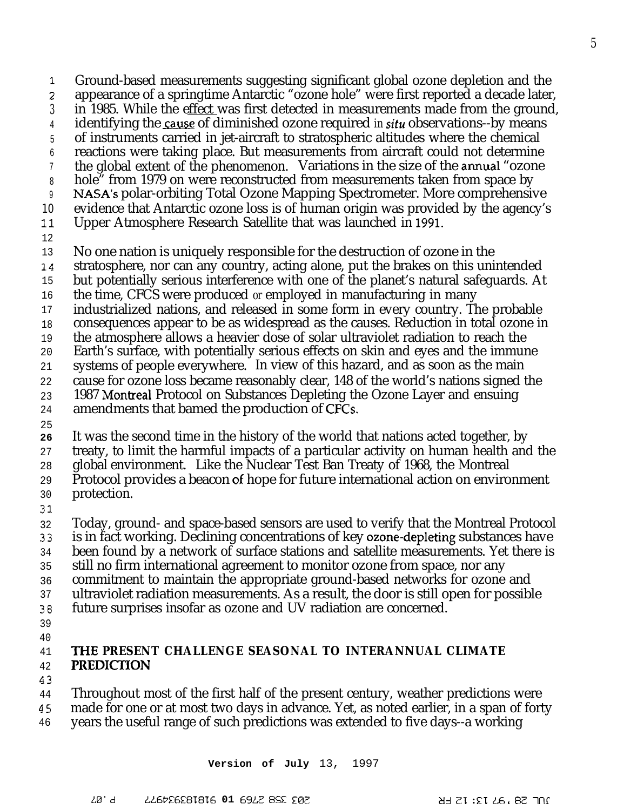3 4 5 6 7 8 9 10 11 12 13 14 15 16 17 18 19 20 21 22 in 1985. While the effect was first detected in measurements made from the ground, identifying the cause of diminished ozone required *in situ* observations--by means of instruments carried in jet-aircraft to stratospheric altitudes where the chemical reactions were taking place. But measurements from aircraft could not determine the global extent of the phenomenon. Variations in the size of the amual "ozone hole<sup>"</sup> from 1979 on were reconstructed from measurements taken from space by NASA's polar-orbiting Total Ozone Mapping Spectrometer. More comprehensive evidence that Antarctic ozone loss is of human origin was provided by the agency's Upper Atmosphere Research Satellite that was launched in 1991. No one nation is uniquely responsible for the destruction of ozone in the stratosphere, nor can any country, acting alone, put the brakes on this unintended but potentially serious interference with one of the planet's natural safeguards. At the time, CFCS were produced *or* employed in manufacturing in many industrialized nations, and released in some form in every country. The probable consequences appear to be as widespread as the causes. Reduction in total ozone in the atmosphere allows a heavier dose of solar ultraviolet radiation to reach the Earth's surface, with potentially serious effects on skin and eyes and the immune systems of people everywhere. In view of this hazard, and as soon as the main cause for ozone loss became reasonably clear, 148 of the world's nations signed the

Ground-based measurements suggesting significant global ozone depletion and the appearance of a springtime Antarctic "ozone hole" were first reported a decade later,

23 1987 Montreal Protocol on Substances Depleting the Ozone Layer and ensuing

24 amendments that bamed the production of CFCS.

25

7 ;

**26** It was the second time in the history of the world that nations acted together, by

27 treaty, to limit the harmful impacts of a particular activity on human health and the

28 global environment. Like the Nuclear Test Ban Treaty of 1968, the Montreal

29 Protocol provides a beacon of hope for future international action on environment protection.

30 31

32 Today, ground- and space-based sensors are used to verify that the Montreal Protocol is in fact working. Declining concentrations of key ozone-depleting substances have

33 been found by a network of surface stations and satellite measurements. Yet there is

- 34 35 still no firm international agreement to monitor ozone from space, nor any
- 36 commitment to maintain the appropriate ground-based networks for ozone and
- 37 ultraviolet radiation measurements. As a result, the door is still open for possible
- 38 future surprises insofar as ozone and UV radiation are concerned.
- 39 40

#### 41 42 **THE PRESENT CHALLENGE SEASONAL TO INTERANNUAL CLIMATE PREDICI'ION**

43

44 Throughout most of the first half of the present century, weather predictions were

- 45 made for one or at most two days in advance. Yet, as noted earlier, in a span of forty
- 46 years the useful range of such predictions was extended to five days--a working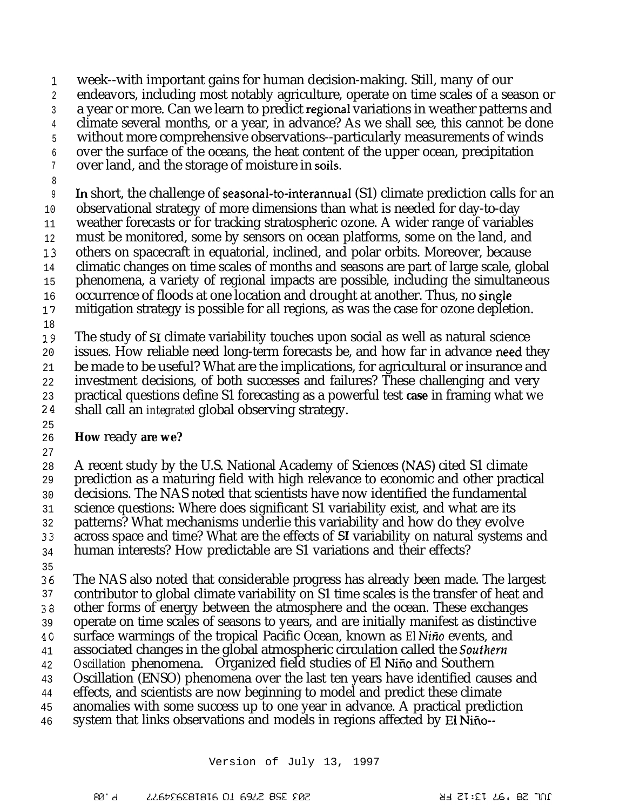1 week--with important gains for human decision-making. Still, many of our

2 endeavors, including most notably agriculture, operate on time scales of a season or

3 a year or more. Can we learn to predict regional variations in weather patterns and

4 climate several months, or a year, in advance? As we shall see, this cannot be done

5 without more comprehensive observations--particularly measurements of winds

6 7 over the surface of the oceans, the heat content of the upper ocean, precipitation over land, and the storage of moisture in soils.

8

9 In short, the challenge of seasonal-to-interannual  $(S1)$  climate prediction calls for an

10 observational strategy of more dimensions than what is needed for day-to-day

11 weather forecasts or for tracking stratospheric ozone. A wider range of variables

12 must be monitored, some by sensors on ocean platforms, some on the land, and

13 others on spacecraft in equatorial, inclined, and polar orbits. Moreover, because

14 climatic changes on time scales of months and seasons are part of large scale, global

15 phenomena, a variety of regional impacts are possible, including the simultaneous

16 occurrence of floods at one location and drought at another. Thus, no single

17 mitigation strategy is possible for all regions, as was the case for ozone depletion.

18

19 20 21 The study of S1 climate variability touches upon social as well as natural science issues. How reliable need long-term forecasts be, and how far in advance need they be made to be useful? What are the implications, for agricultural or insurance and

22 investment decisions, of both successes and failures? These challenging and very

23 practical questions define S1 forecasting as a powerful test **case** in framing what we

24 shall call an *integrated* global observing strategy.

25

26 27 **How** ready **are we?**

28 A recent study by the U.S. National Academy of Sciences (NAS) cited S1 climate

29 prediction as a maturing field with high relevance to economic and other practical

30 decisions. The NAS noted that scientists have now identified the fundamental

31 science questions: Where does significant S1 variability exist, and what are its

32 patterns? What mechanisms underlie this variability and how do they evolve

33 across space and time? What are the effects of S1 variability on natural systems and

34 human interests? How predictable are S1 variations and their effects?

35

36 37 33 39 4G 41 42 43 44 45 The NAS also noted that considerable progress has already been made. The largest contributor to global climate variability on S1 time scales is the transfer of heat and other forms of energy between the atmosphere and the ocean. These exchanges operate on time scales of seasons to years, and are initially manifest as distinctive surface warmings of the tropical Pacific Ocean, known as *El Niño* events, and associated changes in the global atmospheric circulation called the Southern *Oscillation* phenomena. Organized field studies of El Nifio and Southern Oscillation (ENSO) phenomena over the last ten years have identified causes and effects, and scientists are now beginning to model and predict these climate anomalies with some success up to one year in advance. A practical prediction

46 system that links observations and models in regions affected by El Nifio--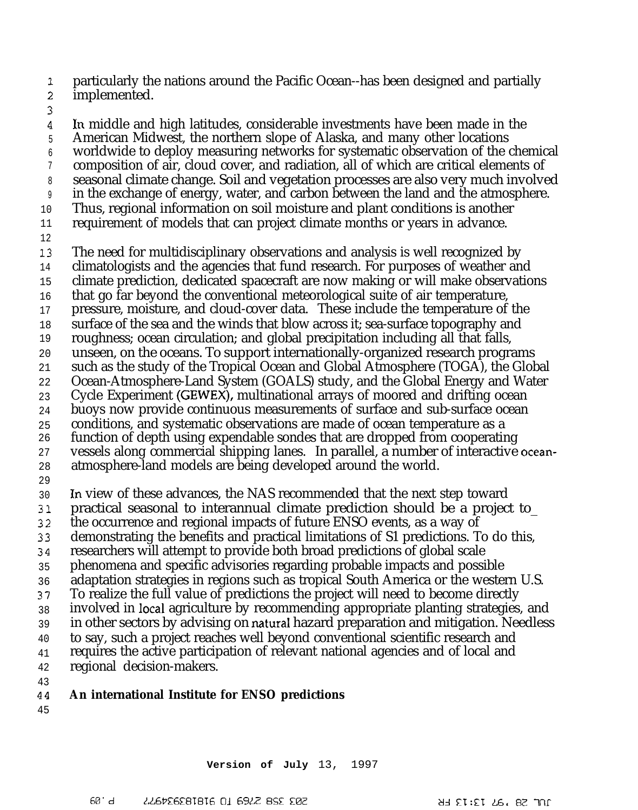1 particularly the nations around the Pacific Ocean--has been designed and partially

- ; implemented.
- 3

**4** 5 6 7 8 9 10 11 12 13 14 15 16 17 18 19 20 21 22 23 24 25 26 27 28 29 30 31 32 33 34 35 36 37 38 39 40 41 42 43 44 In middle and high latitudes, considerable investments have been made in the American Midwest, the northern slope of Alaska, and many other locations worldwide to deploy measuring networks for systematic observation of the chemical composition of air, cloud cover, and radiation, all of which are critical elements of seasonal climate change. Soil and vegetation processes are also very much involved in the exchange of energy, water, and carbon between the land and the atmosphere. Thus, regional information on soil moisture and plant conditions is another requirement of models that can project climate months or years in advance. The need for multidisciplinary observations and analysis is well recognized by climatologists and the agencies that fund research. For purposes of weather and climate prediction, dedicated spacecraft are now making or will make observations that go far beyond the conventional meteorological suite of air temperature, pressure, moisture, and cloud-cover data. These include the temperature of the surface of the sea and the winds that blow across it; sea-surface topography and roughness; ocean circulation; and global precipitation including all that falls, unseen, on the oceans. To support internationally-organized research programs such as the study of the Tropical Ocean and Global Atmosphere (TOGA), the Global Ocean-Atmosphere-Land System (GOALS) study, and the Global Energy and Water Cycle Experiment (GEWEX), multinational arrays of moored and drifting ocean buoys now provide continuous measurements of surface and sub-surface ocean conditions, and systematic observations are made of ocean temperature as a function of depth using expendable sondes that are dropped from cooperating vessels along commercial shipping lanes. In parallel, a number of interactive oceanatmosphere-land models are being developed around the world. In view of these advances, the NAS recommended that the next step toward practical seasonal to interannual climate prediction should be a project to\_ the occurrence and regional impacts of future ENSO events, as a way of demonstrating the benefits and practical limitations of S1 predictions. To do this, researchers will attempt to provide both broad predictions of global scale phenomena and specific advisories regarding probable impacts and possible adaptation strategies in regions such as tropical South America or the western U.S. To realize the full value of predictions the project will need to become directly involved in Iocal agriculture by recommending appropriate planting strategies, and in other sectors by advising on naturaI hazard preparation and mitigation. Needless to say, such a project reaches well beyond conventional scientific research and requires the active participation of relevant national agencies and of local and regional decision-makers. **An international Institute for ENSO predictions**

45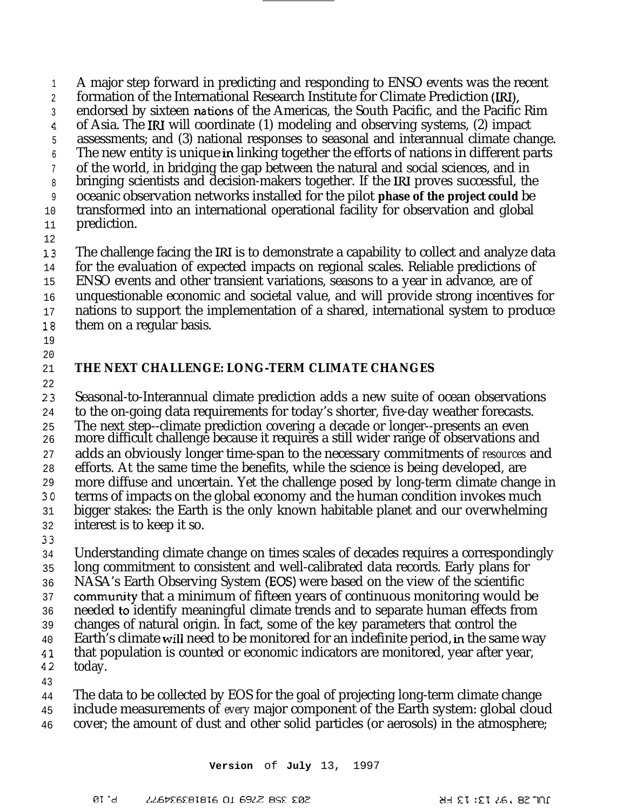1 2 3 4 5 6 7 8 9 10 11 A major step forward in predicting and responding to ENSO events was the recent formation of the International Research Institute for Climate Prediction (LRI), endorsed by sixteen nations of the Americas, the South Pacific, and the Pacific Rim of Asia. The IRI will coordinate (1) modeling and observing systems, (2) impact assessments; and (3) national responses to seasonal and interannual climate change. The new entity is unique in linking together the efforts of nations in different parts of the world, in bridging the gap between the natural and social sciences, and in bringing scientists and decision-makers together. If the RI proves successful, the oceanic observation networks installed for the pilot **phase of the project could** be transformed into an international operational facility for observation and global prediction. The challenge facing the IRI is to demonstrate a capability to collect and analyze data

12

13 14 for the evaluation of expected impacts on regional scales. Reliable predictions of

15 ENSO events and other transient variations, seasons to a year in advance, are of

16 unquestionable economic and societal value, and will provide strong incentives for

17 nations to support the implementation of a shared, international system to produce

- 18 them on a regular basis.
- 19

## 20

### 21 **THE NEXT CHALLENGE: LONG-TERM CLIMATE CHANGES**

22 23 24 25 26 27 28 29 30 31 32 33 Seasonal-to-Interannual climate prediction adds a new suite of ocean observations to the on-going data requirements for today's shorter, five-day weather forecasts. The next step--climate prediction covering a decade or longer--presents an even more difficult challenge because it requires a still wider range of observations and adds an obviously longer time-span to the necessary commitments of *resources* and efforts. At the same time the benefits, while the science is being developed, are more diffuse and uncertain. Yet the challenge posed by long-term climate change in terms of impacts on the global economy and the human condition invokes much bigger stakes: the Earth is the only known habitable planet and our overwhelming interest is to keep it so.

34 35 36 37 36 39 40 Understanding climate change on times scales of decades requires a correspondingly long commitment to consistent and well-calibrated data records. Early plans for NASA's Earth Observing System (EOS) were based on the view of the scientific commutity that a minimum of fifteen years of continuous monitoring would be needed to identify meaningful climate trends and to separate human effects from changes of natural origin. In fact, some of the key parameters that control the Earth's climate will need to be monitored for an indefinite period, in the same way

41 that population is counted or economic indicators are monitored, year after year,

- 42 today.
- 43

44 The data to be collected by EOS for the goal of projecting long-term climate change

45 include measurements of *every* major component of the Earth system: global cloud

46 cover; the amount of dust and other solid particles (or aerosols) in the atmosphere;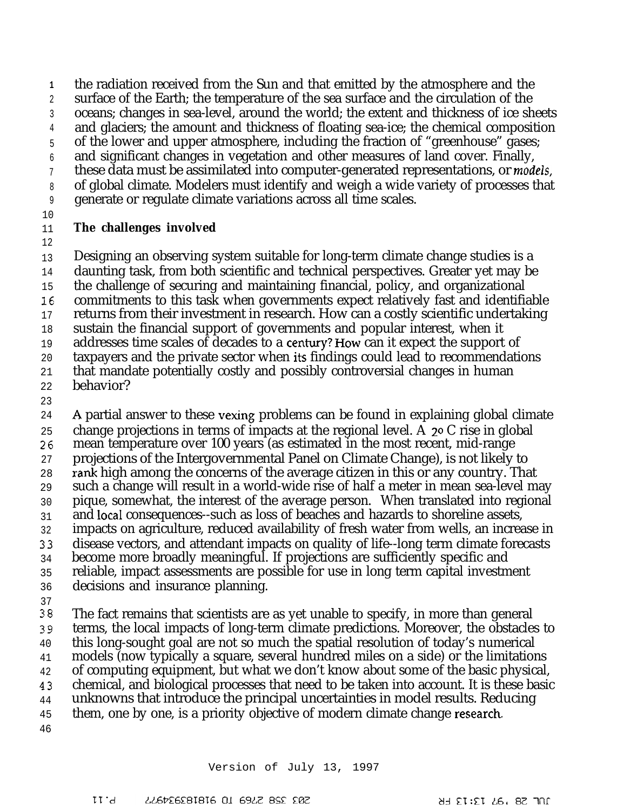**1** 2 3 4 5 6 7 8 9 the radiation received from the Sun and that emitted by the atmosphere and the surface of the Earth; the temperature of the sea surface and the circulation of the oceans; changes in sea-level, around the world; the extent and thickness of ice sheets and glaciers; the amount and thickness of floating sea-ice; the chemical composition of the lower and upper atmosphere, including the fraction of "greenhouse" gases; and significant changes in vegetation and other measures of land cover. Finally, these data must be assimilated into computer-generated representations, or *models*, of global climate. Modelers must identify and weigh a wide variety of processes that generate or regulate climate variations across all time scales.

10

#### 11 **The challenges involved**

12

13 Designing an observing system suitable for long-term climate change studies is a

14 daunting task, from both scientific and technical perspectives. Greater yet may be

- 15 the challenge of securing and maintaining financial, policy, and organizational
- 16 commitments to this task when governments expect relatively fast and identifiable
- 17 returns from their investment in research. How can a costly scientific undertaking
- 18 sustain the financial support of governments and popular interest, when it addresses time scales of decades to a centwy? How can it expect the support of
- 19 20 taxpayers and the private sector when its findings could lead to recommendations
- 21 that mandate potentially costly and possibly controversial changes in human
- 22 behavior?
- 23

24 25 26 27 28 29 30 31 32 33 34 35 36 37 38 39 A partial answer to these vexing problems can be found in explaining global climate change projections in terms of impacts at the regional level. A 20 C rise in global mean temperature over 100 years (as estimated in the most recent, mid-range projections of the Intergovernmental Panel on Climate Change), is not likely to rank high among the concerns of the average citizen in this or any country. That such a change will result in a world-wide rise of half a meter in mean sea-level may pique, somewhat, the interest of the average person. When translated into regional and local consequences--such as loss of beaches and hazards to shoreline assets, impacts on agriculture, reduced availability of fresh water from wells, an increase in disease vectors, and attendant impacts on quality of life--long term climate forecasts become more broadly meaningful. If projections are sufficiently specific and reliable, impact assessments are possible for use in long term capital investment decisions and insurance planning. The fact remains that scientists are as yet unable to specify, in more than general terms, the local impacts of long-term climate predictions. Moreover, the obstacles to

40 this long-sought goal are not so much the spatial resolution of today's numerical

41 42 models (now typically a square, several hundred miles on a side) or the limitations of computing equipment, but what we don't know about some of the basic physical,

43 chemical, and biological processes that need to be taken into account. It is these basic

- 44 unknowns that introduce the principal uncertainties in model results. Reducing
- 45 them, one by one, is a priority objective of modern climate change research-
- 46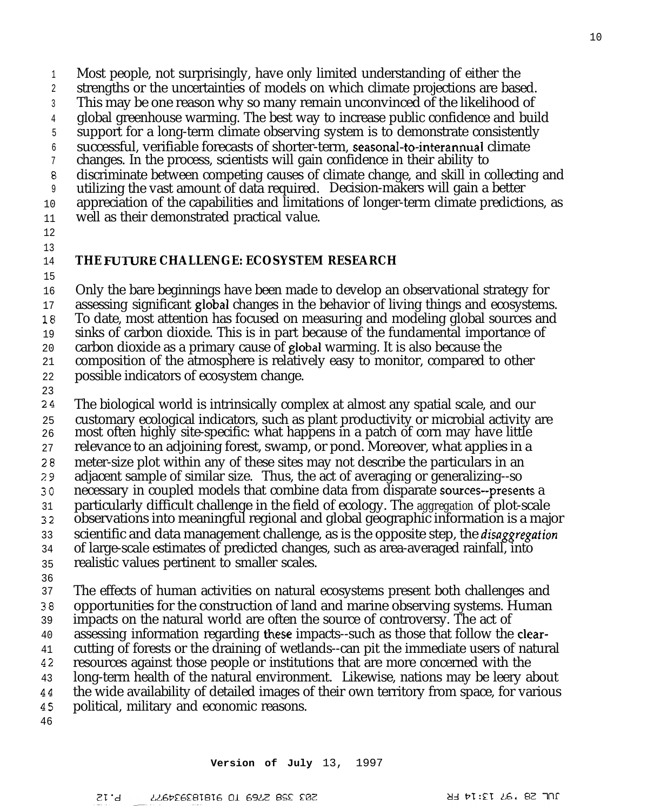1 Most people, not surprisingly, have only limited understanding of either the

2 strengths or the uncertainties of models on which climate projections are based.

3 This may be one reason why so many remain unconvinced of the likelihood of

4 global greenhouse warming. The best way to increase public confidence and build

5 6 support for a long-term climate observing system is to demonstrate consistently successful, verifiable forecasts of shorter-term, seasonal-to-interannual climate

7 changes. In the process, scientists will gain confidence in their ability to

8 discriminate between competing causes of climate change, and skill in collecting and

9 utilizing the vast amount of data required. Decision-makers will gain a better

10 appreciation of the capabilities and limitations of longer-term climate predictions, as

11 well as their demonstrated practical value.

12

## 13

#### 14 **THE FUTURE CHALLENGE: ECOSYSTEM RESEARCH**

15

16 17 18 19 20 21 22 Only the bare beginnings have been made to develop an observational strategy for assessing significant global changes in the behavior of living things and ecosystems. To date, most attention has focused on measuring and modeling global sources and sinks of carbon dioxide. This is in part because of the fundamental importance of carbon dioxide as a primary cause of global warming. It is also because the composition of the atmosphere is relatively easy to monitor, compared to other possible indicators of ecosystem change.

23

24 25 26 27 28 29 30 31 32 33 34 35 36 37 The biological world is intrinsically complex at almost any spatial scale, and our customary ecological indicators, such as plant productivity or microbial activity are most often highly site-specific: what happens in a patch of corn may have little relevance to an adjoining forest, swamp, or pond. Moreover, what applies in a meter-size plot within any of these sites may not describe the particulars in an adjacent sample of similar size. Thus, the act of averaging or generalizing--so necessary in coupled models that combine data from disparate souces--presents a particularly difficult challenge in the field of ecology. The *aggregation* of plot-scale observations into meaningful regional and global geographic information is a major scientific and data management challenge, as is the opposite step, the *disaggregation* of large-scale estimates of predicted changes, such as area-averaged rainfall, into realistic values pertinent to smaller scales. The effects of human activities on natural ecosystems present both challenges and

38 39 40 41 42 43 44 45 opportunities for the construction of land and marine observing systems. Human impacts on the natural world are often the source of controversy. The act of assessing information regarding these impacts--such as those that follow the clearcutting of forests or the draining of wetlands--can pit the immediate users of natural resources against those people or institutions that are more concerned with the long-term health of the natural environment. Likewise, nations may be leery about the wide availability of detailed images of their own territory from space, for various political, military and economic reasons.

**Version of July** 13, 1997

46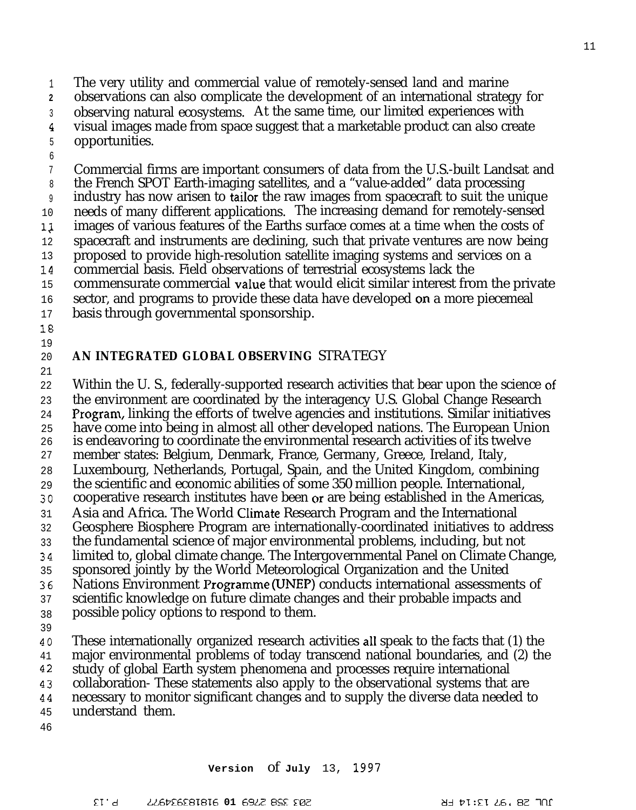1 The very utility and commercial value of remotely-sensed land and marine

**2** observations can also complicate the development of an international strategy for

- 3 observing natural ecosystems. At the same time, our limited experiences with
- 4 5 visual images made from space suggest that a marketable product can also create opportunities.
- 6

7 8 9 10 1/ 12 13 14 15 16 Commercial firms are important consumers of data from the U.S.-built Landsat and the French SPOT Earth-imaging satellites, and a "value-added" data processing industry has now arisen to tailor the raw images from spacecraft to suit the unique needs of many different applications. The increasing demand for remotely-sensed images of various features of the Earths surface comes at a time when the costs of spacecraft and instruments are declining, such that private ventures are now being proposed to provide high-resolution satellite imaging systems and services on a commercial basis. Field observations of terrestrial ecosystems lack the commensurate commercial vaIue that would elicit similar interest from the private sector, and programs to provide these data have developed on a more piecemeal

- 17 basis through governmental sponsorship.
- 18 19

### 20 **AN INTEGRATED GLOBAL OBSERVING** STRATEGY

21

22 23 24 25 26 27 28 29 30 31 32 33 >4 35 36 37 38 39 40 41 42 43 44 Within the U. S., federally-supported research activities that bear upon the science of the environment are coordinated by the interagency U.S. Global Change Research )?rogram, linking the efforts of twelve agencies and institutions. Similar initiatives have come into being in almost all other developed nations. The European Union is endeavoring to coordinate the environmental research activities of its twelve member states: Belgium, Denmark, France, Germany, Greece, Ireland, Italy, Luxembourg, Netherlands, Portugal, Spain, and the United Kingdom, combining the scientific and economic abilities of some 350 million people. International, cooperative research institutes have been or are being established in the Americas, Asia and Africa. The World CIimate Research Program and the International Geosphere Biosphere Program are internationally-coordinated initiatives to address the fundamental science of major environmental problems, including, but not limited to, global climate change. The Intergovernmental Panel on Climate Change, sponsored jointly by the World Meteorological Organization and the United Nations Environment Programme (UNEP) conducts international assessments of scientific knowledge on future climate changes and their probable impacts and possible policy options to respond to them. These internationally organized research activities all speak to the facts that (1) the major environmental problems of today transcend national boundaries, and (2) the study of global Earth system phenomena and processes require international collaboration- These statements also apply to the observational systems that are necessary to monitor significant changes and to supply the diverse data needed to

- 45 understand them.
- 46

11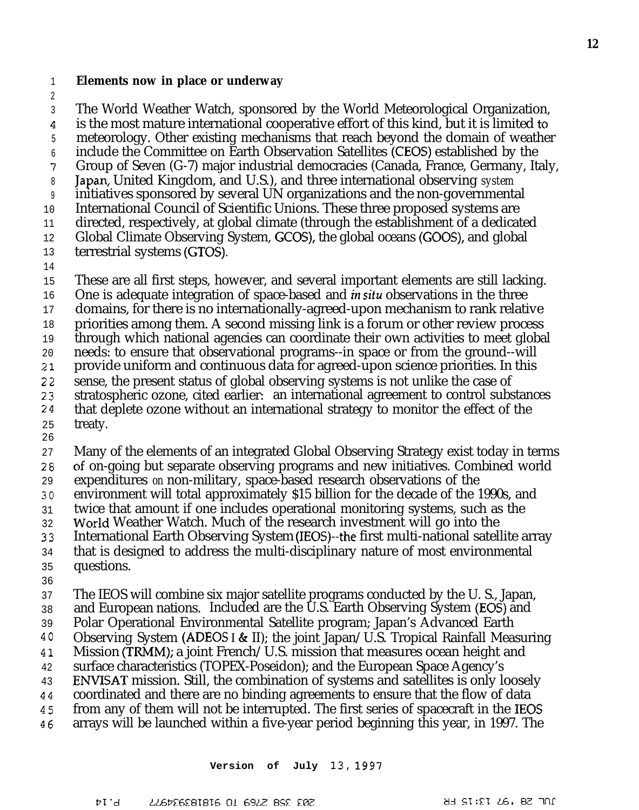1 **Elements now in place or underway**

2 3  $\overline{4}$ The World Weather Watch, sponsored by the World Meteorological Organization, is the most mature international cooperative effort of this kind, but it is limited to

5 meteorology. Other existing mechanisms that reach beyond the domain of weather

- 6 7 include the Committee on Earth Observation Satellites (CEOS) established by the Group of Seven (G-7) major industrial democracies (Canada, France, Germany, Italy,
- 8 Japan, United Kingdom, and U.S.), and three international observing *system*
- 9 initiatives sponsored by several UN organizations and the non-governmental
- 10 International Council of Scientific Unions. These three proposed systems are
- 11 directed, respectively, at global climate (through the establishment of a dedicated
- 12 Global Climate Observing System, GCOS), the global oceans (GOOS), and global
- 13 terrestrial systems (GTOS).
- 14
- 15 These are all first steps, however, and several important elements are still lacking.
- 16 One is adequate integration of space-based and in situ observations in the three
- 17 domains, for there is no internationally-agreed-upon mechanism to rank relative
- 18 priorities among them. A second missing link is a forum or other review process
- 19 through which national agencies can coordinate their own activities to meet global
- 20 needs: to ensure that observational programs--in space or from the ground--will provide uniform and continuous data for agreed-upon science priorities. In this
- 21 22 sense, the present status of global observing systems is not unlike the case of
- 23 stratospheric ozone, cited earlier: an international agreement to control substances
- 24 that deplete ozone without an international strategy to monitor the effect of the
- 25 treaty.
- 26 27 Many of the elements of an integrated Global Observing Strategy exist today in terms
- 28 of on-going but separate observing programs and new initiatives. Combined world
- 29 expenditures *on* non-military, space-based research observations of the
- 30 environment will total approximately \$15 billion for the decade of the 1990s, and
- 31 twice that amount if one includes operational monitoring systems, such as the
- 32 World Weather Watch. Much of the research investment will go into the
- 33 International Earth Observing System (IEOS)--the first multi-national satellite array
- 34 that is designed to address the multi-disciplinary nature of most environmental questions.
- 35 36
- 37 The IEOS will combine six major satellite programs conducted by the U. S., Japan,
- 38 and European nations. Included are the U.S. Earth Observing System (EOS) and
- 39 Polar Operational Environmental Satellite program; Japan's Advanced Earth
- 40 Observing System (ADEOS I & II); the joint Japan/U.S. Tropical Rainfall Measuring
- 41 Mission (TRMM); a joint French/U.S. mission that measures ocean height and
- 42 surface characteristics (TOPEX-Poseidon); and the European Space Agency's
- 43 ENVISAT mission. Still, the combination of systems and satellites is only loosely
- 44 coordinated and there are no binding agreements to ensure that the flow of data
- 45 from any of them will not be interrupted. The first series of spacecraft in the IEOS
- 46 arrays will be launched within a five-year period beginning this year, in 1997. The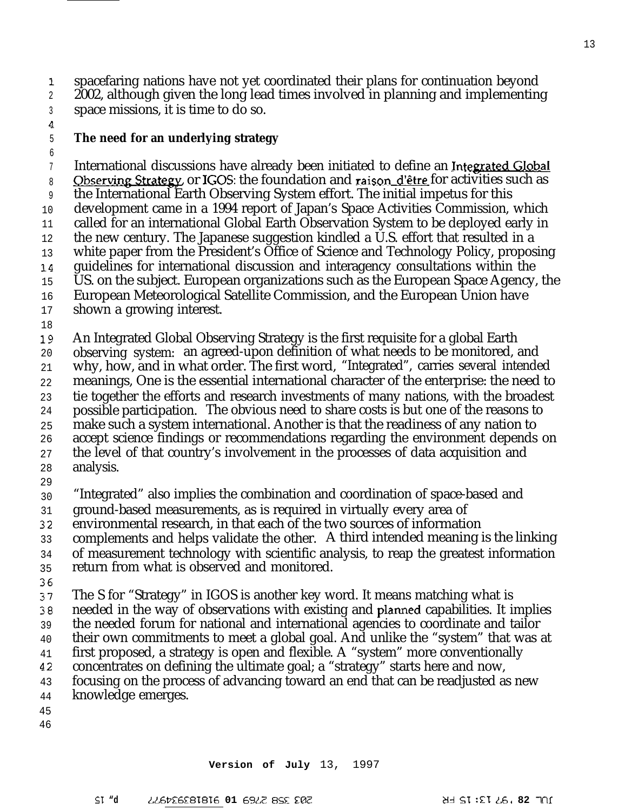1. spacefaring nations have not yet coordinated their plans for continuation beyond

2 3 2002, although given the long lead times involved in planning and implementing space missions, it is time to do so.

 $\overline{4}$ 5

# **The need for an underlying strategy**

6 7 8 9 10 11 12 13 14. 15 16 17 Observing Strategy or IGOS: the foundation and raison d'être for activities such as International discussions have already been initiated to define an missions, it is time to do so.<br> **ed for an underlying strategy**<br>
tional discussions have already been initiated to define an <u>Integrated Globaling Strategy</u> or IGOS: the foundation and raison d'être for activities such as<br> nuation beyond<br>id implementing<br>Integrated Global<br>activities such as<br>tus for this the International Earth Observing System effort. The initial impetus for this development came in a 1994 report of Japan's Space Activities Commission, which called for an international Global Earth Observation System to be deployed early in the new century. The Japanese suggestion kindled a U.S. effort that resulted in a white paper from the President's Office of Science and Technology Policy, proposing guidelines for international discussion and interagency consultations within the US. on the subject. European organizations such as the European Space Agency, the European Meteorological Satellite Commission, and the European Union have shown a growing interest.

18

19 An Integrated Global Observing Strategy is the first requisite for a global Earth

20 observing system: an agreed-upon definition of what needs to be monitored, and

21 why, how, and in what order. The first word, "Integrated", carries several intended

22 meanings, One is the essential international character of the enterprise: the need to

23 tie together the efforts and research investments of many nations, with the broadest

24 possible participation. The obvious need to share costs is but one of the reasons to make such a system international. Another is that the readiness of any nation to

25 26 accept science findings or recommendations regarding the environment depends on

27 the level of that country's involvement in the processes of data acquisition and

- 28 analysis.
- 29

30 "Integrated" also implies the combination and coordination of space-based and

31 ground-based measurements, as is required in virtually every area of

32 environmental research, in that each of the two sources of information

33 complements and helps validate the other. A third intended meaning is the linking

34 of measurement technology with scientific analysis, to reap the greatest information

35 return from what is observed and monitored.

36

37 The S for "Strategy" in IGOS is another key word. It means matching what is

38 needed in the way of observations with existing and plamed capabilities. It implies

39 the needed forum for national and international agencies to coordinate and tailor

- 40 their own commitments to meet a global goal. And unlike the "system" that was at
- 41 first proposed, a strategy is open and flexible. A "system" more conventionally
- 42 concentrates on defining the ultimate goal; a "strategy" starts here and now,

43 focusing on the process of advancing toward an end that can be readjusted as new

- 44 knowledge emerges.
- 45
- 46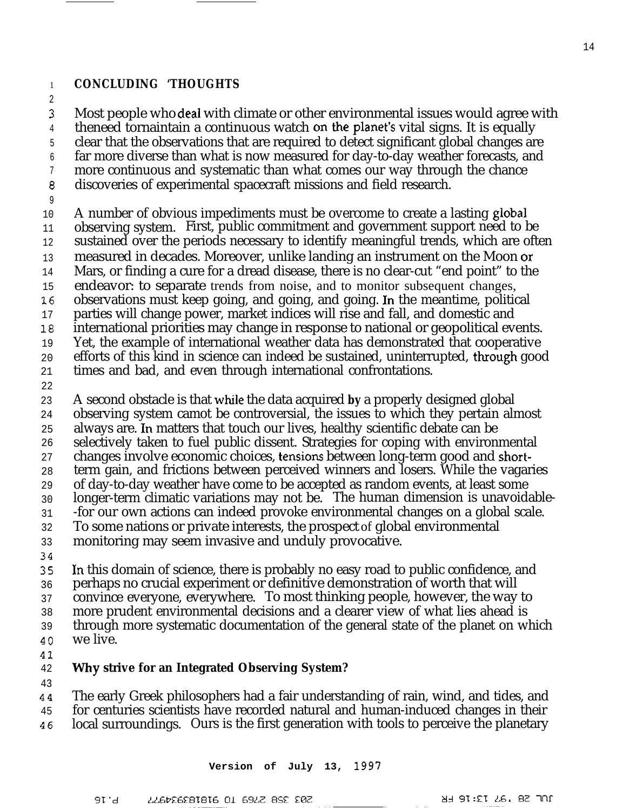## **CONCLUDING 'THOUGHTS**

1 2

3 4 5 6 7 8 Most people who deal with climate or other environmental issues would agree with theneed tornaintain a continuous watch on the planet's vital signs. It is equally clear that the observations that are required to detect significant global changes are far more diverse than what is now measured for day-to-day weather forecasts, and more continuous and systematic than what comes our way through the chance discoveries of experimental spacecraft missions and field research.

9

13

17

19 20

10 11 12 14 15 16 18 A number of obvious impediments must be overcome to create a lasting global observing system. First, public commitment and government support need to be sustained over the periods necessary to identify meaningful trends, which are often measured in decades. Moreover, unlike landing an instrument on the Moon or Mars, or finding a cure for a dread disease, there is no clear-cut "end point" to the endeavor: to separate trends from noise, and to monitor subsequent changes, observations must keep going, and going, and going. In the meantime, political parties will change power, market indices will rise and fall, and domestic and international priorities may change in response to national or geopolitical events. Yet, the example of international weather data has demonstrated that cooperative efforts of this kind in science can indeed be sustained, uninterrupted, though good times and bad, and even through international confrontations.

21 22

23 A second obstacle is that while the data acquired **by** a properly designed global

24 observing system camot be controversial, the issues to which they pertain almost

- 25 always are. In matters that touch our lives, healthy scientific debate can be
- 26 selectively taken to fuel public dissent. Strategies for coping with environmental
- 27 changes involve economic choices, tensions between long-term good and short-
- 28 term gain, and frictions between perceived winners and losers. While the vagaries
- 29 of day-to-day weather have come to be accepted as random events, at least some
- 30 longer-term climatic variations may not be. The human dimension is unavoidable-
- 31 -for our own actions can indeed provoke environmental changes on a global scale.
- 32 To some nations or private interests, the prospect of global environmental
- 33 monitoring may seem invasive and unduly provocative.
- 34

35 36 In this domain of science, there is probably no easy road to public confidence, and perhaps no crucial experiment or definitive demonstration of worth that will

- 37 convince everyone, everywhere. To most thinking people, however, the way to
- 38 more prudent environmental decisions and a clearer view of what lies ahead is
- 39 through more systematic documentation of the general state of the planet on which we live.
- 40
- 41

#### 42 **why strive for an Integrated Observing System?**

43

44 45 46 The early Greek philosophers had a fair understanding of rain, wind, and tides, and for centuries scientists have recorded natural and human-induced changes in their local surroundings. Ours is the first generation with tools to perceive the planetary